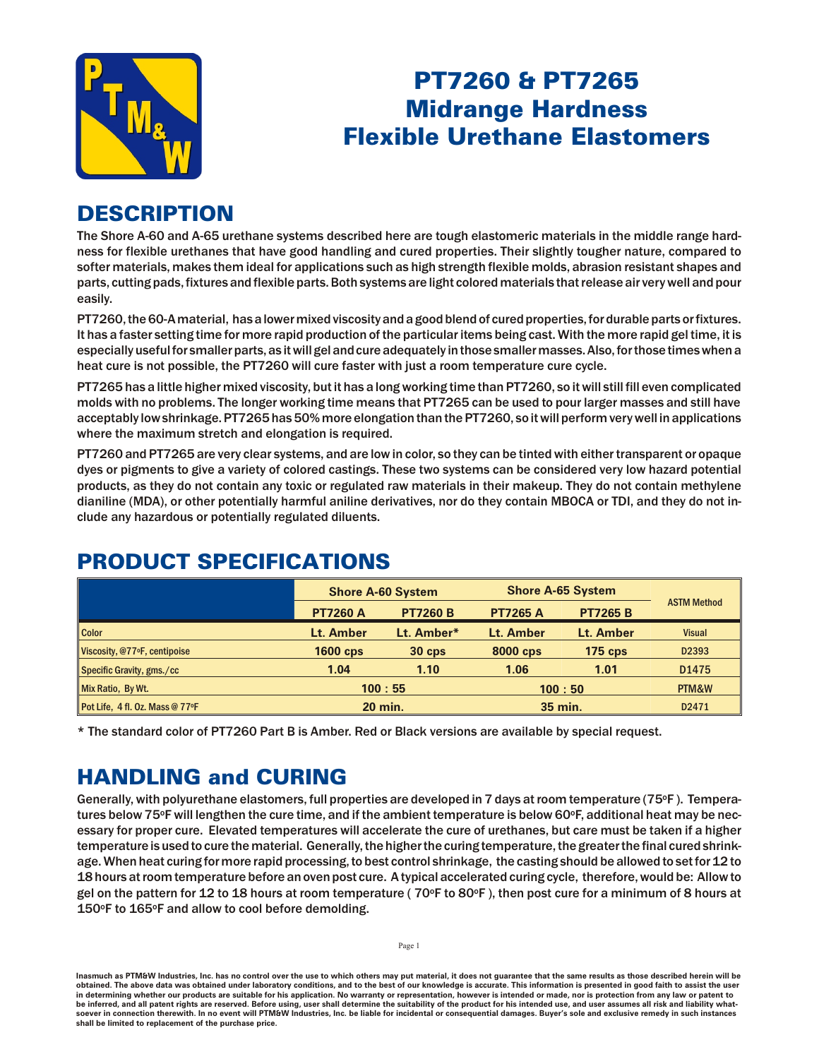

# PT7260 & PT7265 **Midrange Hardness Flexible Urethane Elastomers**

# **DESCRIPTION**

The Shore A-60 and A-65 urethane systems described here are tough elastomeric materials in the middle range hardness for flexible urethanes that have good handling and cured properties. Their slightly tougher nature, compared to softer materials, makes them ideal for applications such as high strength flexible molds, abrasion resistant shapes and parts, cutting pads, fixtures and flexible parts. Both systems are light colored materials that release air very well and pour easily.

PT7260, the 60-A material, has a lower mixed viscosity and a good blend of cured properties, for durable parts or fixtures. It has a faster setting time for more rapid production of the particular items being cast. With the more rapid gel time, it is especially useful for smaller parts, as it will gel and cure adequately in those smaller masses. Also, for those times when a heat cure is not possible, the PT7260 will cure faster with just a room temperature cure cycle.

PT7265 has a little higher mixed viscosity, but it has a long working time than PT7260, so it will still fill even complicated molds with no problems. The longer working time means that PT7265 can be used to pour larger masses and still have acceptably low shrinkage. PT7265 has 50% more elongation than the PT7260, so it will perform very well in applications where the maximum stretch and elongation is required.

PT7260 and PT7265 are very clear systems, and are low in color, so they can be tinted with either transparent or opaque dyes or pigments to give a variety of colored castings. These two systems can be considered very low hazard potential products, as they do not contain any toxic or regulated raw materials in their makeup. They do not contain methylene dianiline (MDA), or other potentially harmful aniline derivatives, nor do they contain MBOCA or TDI, and they do not include any hazardous or potentially regulated diluents.

|                                 | <b>Shore A-60 System</b> |                 | <b>Shore A-65 System</b> |                 |                    |
|---------------------------------|--------------------------|-----------------|--------------------------|-----------------|--------------------|
|                                 | <b>PT7260 A</b>          | <b>PT7260 B</b> | <b>PT7265 A</b>          | <b>PT7265 B</b> | <b>ASTM Method</b> |
| <b>Color</b>                    | Lt. Amber                | Lt. Amber*      | Lt. Amber                | Lt. Amber       | <b>Visual</b>      |
| Viscosity, @77ºF, centipoise    | <b>1600 cps</b>          | $30$ cps        | 8000 cps                 | $175$ cps       | D2393              |
| Specific Gravity, gms./cc       | 1.04                     | 1.10            | 1.06                     | 1.01            | D1475              |
| Mix Ratio, By Wt.               | 100:55                   |                 | 100:50                   |                 | PTM&W              |
| Pot Life, 4 fl. Oz. Mass @ 77°F | <b>20 min.</b>           |                 | 35 min.                  |                 | D2471              |

# PRODUCT SPECIFICATIONS

\* The standard color of PT7260 Part B is Amber. Red or Black versions are available by special request.

# **HANDLING and CURING**

Generally, with polyurethane elastomers, full properties are developed in 7 days at room temperature (75°F). Temperatures below 75 $\circ$ F will lengthen the cure time, and if the ambient temperature is below 60 $\circ$ F, additional heat may be necessary for proper cure. Elevated temperatures will accelerate the cure of urethanes, but care must be taken if a higher tem perature is used to cure the material. Generally, the higher the curing tem perature, the greater the final cured shrinkage. When heat curing for more rapid processing, to best control shrinkage, the casting should be allowed to set for 12 to 18 hours at room temperature before an oven post cure. A typical accelerated curing cycle, therefore, would be: Allow to gel on the pattern for 12 to 18 hours at room temperature ( $70^{\circ}$ F to 80°F), then post cure for a minimum of 8 hours at 150°F to 165°F and allow to cool before demolding.

Inasmuch as PTM&W Industries, Inc. has no control over the use to which others may put material, it does not guarantee that the same results as those described herein will be obtained. The above data was obtained under laboratory conditions, and to the best of our knowledge is accurate. This information is presented in good faith to assist the user in determining whether our products are suitable for his application. No warranty or representation, however is intended or made, nor is protection from any law be inferred, and all patent rights are reserved. Before using, user shall determine the suitability of the product for his intended use, and user assumes all risk and liability whatsoever in connection therewith. In no event will PTM&W Industries, Inc. be liable for incidental or consequential damages. Buyer's sole and exclusive remedy in such instances shall be limited to replacement of the purchase price.